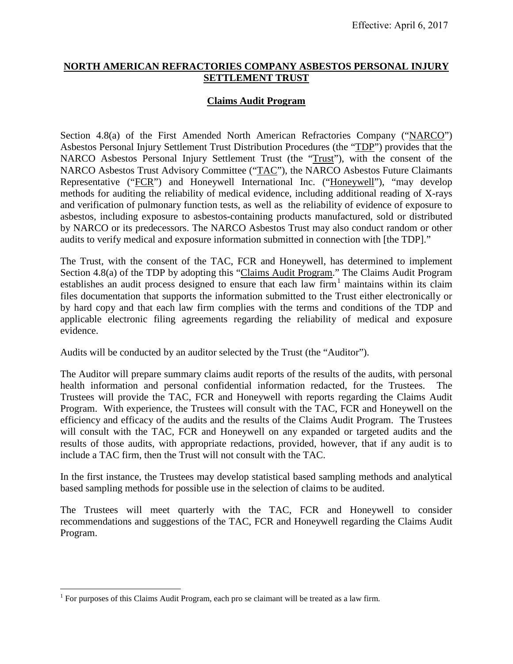#### **NORTH AMERICAN REFRACTORIES COMPANY ASBESTOS PERSONAL INJURY SETTLEMENT TRUST**

### **Claims Audit Program**

Section 4.8(a) of the First Amended North American Refractories Company ("NARCO") Asbestos Personal Injury Settlement Trust Distribution Procedures (the "TDP") provides that the NARCO Asbestos Personal Injury Settlement Trust (the "Trust"), with the consent of the NARCO Asbestos Trust Advisory Committee ("TAC"), the NARCO Asbestos Future Claimants Representative ("FCR") and Honeywell International Inc. ("Honeywell"), "may develop methods for auditing the reliability of medical evidence, including additional reading of X-rays and verification of pulmonary function tests, as well as the reliability of evidence of exposure to asbestos, including exposure to asbestos-containing products manufactured, sold or distributed by NARCO or its predecessors. The NARCO Asbestos Trust may also conduct random or other audits to verify medical and exposure information submitted in connection with [the TDP]."

The Trust, with the consent of the TAC, FCR and Honeywell, has determined to implement Section 4.8(a) of the TDP by adopting this "Claims Audit Program." The Claims Audit Program establishes an audit process designed to ensure that each law firm<sup>1</sup> maintains within its claim files documentation that supports the information submitted to the Trust either electronically or by hard copy and that each law firm complies with the terms and conditions of the TDP and applicable electronic filing agreements regarding the reliability of medical and exposure evidence.

Audits will be conducted by an auditor selected by the Trust (the "Auditor").

The Auditor will prepare summary claims audit reports of the results of the audits, with personal health information and personal confidential information redacted, for the Trustees. The Trustees will provide the TAC, FCR and Honeywell with reports regarding the Claims Audit Program. With experience, the Trustees will consult with the TAC, FCR and Honeywell on the efficiency and efficacy of the audits and the results of the Claims Audit Program. The Trustees will consult with the TAC, FCR and Honeywell on any expanded or targeted audits and the results of those audits, with appropriate redactions, provided, however, that if any audit is to include a TAC firm, then the Trust will not consult with the TAC.

In the first instance, the Trustees may develop statistical based sampling methods and analytical based sampling methods for possible use in the selection of claims to be audited.

The Trustees will meet quarterly with the TAC, FCR and Honeywell to consider recommendations and suggestions of the TAC, FCR and Honeywell regarding the Claims Audit Program.

 $1$  For purposes of this Claims Audit Program, each pro se claimant will be treated as a law firm.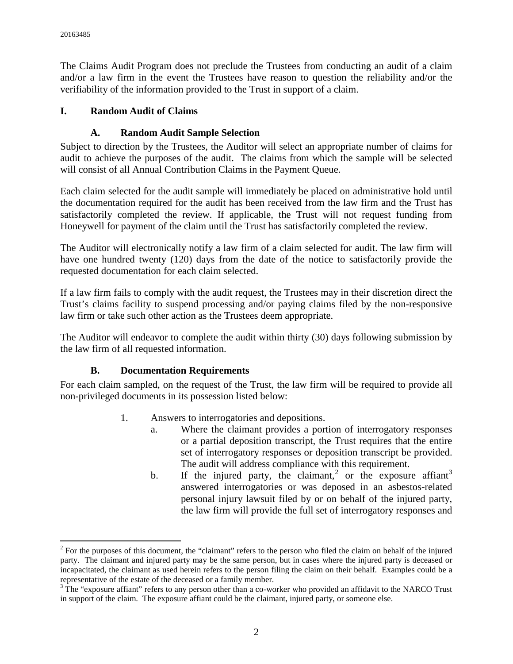The Claims Audit Program does not preclude the Trustees from conducting an audit of a claim and/or a law firm in the event the Trustees have reason to question the reliability and/or the verifiability of the information provided to the Trust in support of a claim.

## **I. Random Audit of Claims**

# **A. Random Audit Sample Selection**

Subject to direction by the Trustees, the Auditor will select an appropriate number of claims for audit to achieve the purposes of the audit. The claims from which the sample will be selected will consist of all Annual Contribution Claims in the Payment Queue.

Each claim selected for the audit sample will immediately be placed on administrative hold until the documentation required for the audit has been received from the law firm and the Trust has satisfactorily completed the review. If applicable, the Trust will not request funding from Honeywell for payment of the claim until the Trust has satisfactorily completed the review.

The Auditor will electronically notify a law firm of a claim selected for audit. The law firm will have one hundred twenty (120) days from the date of the notice to satisfactorily provide the requested documentation for each claim selected.

If a law firm fails to comply with the audit request, the Trustees may in their discretion direct the Trust's claims facility to suspend processing and/or paying claims filed by the non-responsive law firm or take such other action as the Trustees deem appropriate.

The Auditor will endeavor to complete the audit within thirty (30) days following submission by the law firm of all requested information.

### **B. Documentation Requirements**

For each claim sampled, on the request of the Trust, the law firm will be required to provide all non-privileged documents in its possession listed below:

- 1. Answers to interrogatories and depositions.
	- a. Where the claimant provides a portion of interrogatory responses or a partial deposition transcript, the Trust requires that the entire set of interrogatory responses or deposition transcript be provided. The audit will address compliance with this requirement.
	- b. If the injured party, the claimant,<sup>2</sup> or the exposure affiant<sup>3</sup> answered interrogatories or was deposed in an asbestos-related personal injury lawsuit filed by or on behalf of the injured party, the law firm will provide the full set of interrogatory responses and

 $2$  For the purposes of this document, the "claimant" refers to the person who filed the claim on behalf of the injured party. The claimant and injured party may be the same person, but in cases where the injured party is deceased or incapacitated, the claimant as used herein refers to the person filing the claim on their behalf. Examples could be a representative of the estate of the deceased or a family member.

<sup>&</sup>lt;sup>3</sup> The "exposure affiant" refers to any person other than a co-worker who provided an affidavit to the NARCO Trust in support of the claim. The exposure affiant could be the claimant, injured party, or someone else.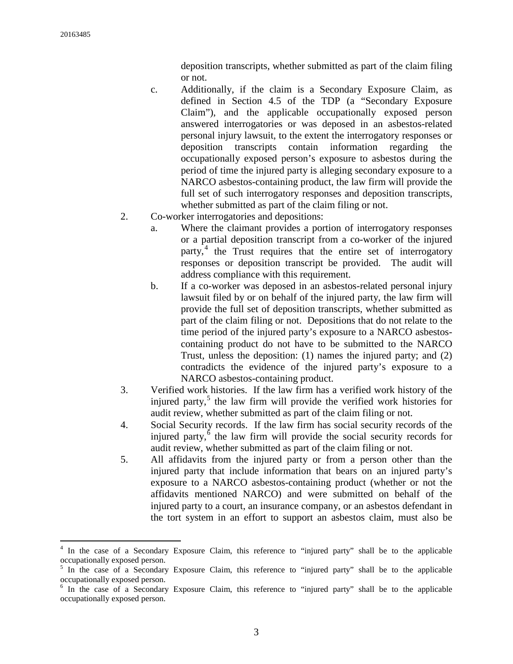deposition transcripts, whether submitted as part of the claim filing or not.

- c. Additionally, if the claim is a Secondary Exposure Claim, as defined in Section 4.5 of the TDP (a "Secondary Exposure Claim"), and the applicable occupationally exposed person answered interrogatories or was deposed in an asbestos-related personal injury lawsuit, to the extent the interrogatory responses or deposition transcripts contain information regarding the occupationally exposed person's exposure to asbestos during the period of time the injured party is alleging secondary exposure to a NARCO asbestos-containing product, the law firm will provide the full set of such interrogatory responses and deposition transcripts, whether submitted as part of the claim filing or not.
- 2. Co-worker interrogatories and depositions:
	- a. Where the claimant provides a portion of interrogatory responses or a partial deposition transcript from a co-worker of the injured party,<sup>4</sup> the Trust requires that the entire set of interrogatory responses or deposition transcript be provided. The audit will address compliance with this requirement.
	- b. If a co-worker was deposed in an asbestos-related personal injury lawsuit filed by or on behalf of the injured party, the law firm will provide the full set of deposition transcripts, whether submitted as part of the claim filing or not. Depositions that do not relate to the time period of the injured party's exposure to a NARCO asbestoscontaining product do not have to be submitted to the NARCO Trust, unless the deposition: (1) names the injured party; and (2) contradicts the evidence of the injured party's exposure to a NARCO asbestos-containing product.
- 3. Verified work histories. If the law firm has a verified work history of the injured party, $5$  the law firm will provide the verified work histories for audit review, whether submitted as part of the claim filing or not.
- 4. Social Security records. If the law firm has social security records of the injured party, $6$  the law firm will provide the social security records for audit review, whether submitted as part of the claim filing or not.
- 5. All affidavits from the injured party or from a person other than the injured party that include information that bears on an injured party's exposure to a NARCO asbestos-containing product (whether or not the affidavits mentioned NARCO) and were submitted on behalf of the injured party to a court, an insurance company, or an asbestos defendant in the tort system in an effort to support an asbestos claim, must also be

<sup>4</sup> In the case of a Secondary Exposure Claim, this reference to "injured party" shall be to the applicable occupationally exposed person.

<sup>&</sup>lt;sup>5</sup> In the case of a Secondary Exposure Claim, this reference to "injured party" shall be to the applicable occupationally exposed person.

<sup>&</sup>lt;sup>6</sup> In the case of a Secondary Exposure Claim, this reference to "injured party" shall be to the applicable occupationally exposed person.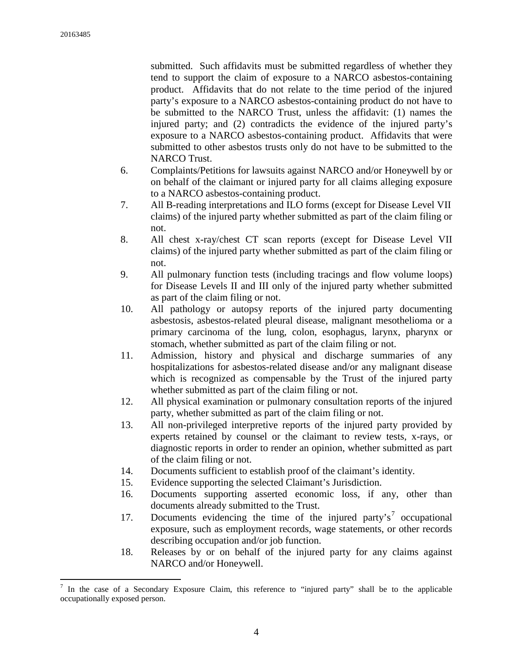submitted. Such affidavits must be submitted regardless of whether they tend to support the claim of exposure to a NARCO asbestos-containing product. Affidavits that do not relate to the time period of the injured party's exposure to a NARCO asbestos-containing product do not have to be submitted to the NARCO Trust, unless the affidavit: (1) names the injured party; and (2) contradicts the evidence of the injured party's exposure to a NARCO asbestos-containing product. Affidavits that were submitted to other asbestos trusts only do not have to be submitted to the NARCO Trust.

- 6. Complaints/Petitions for lawsuits against NARCO and/or Honeywell by or on behalf of the claimant or injured party for all claims alleging exposure to a NARCO asbestos-containing product.
- 7. All B-reading interpretations and ILO forms (except for Disease Level VII claims) of the injured party whether submitted as part of the claim filing or not.
- 8. All chest x-ray/chest CT scan reports (except for Disease Level VII claims) of the injured party whether submitted as part of the claim filing or not.
- 9. All pulmonary function tests (including tracings and flow volume loops) for Disease Levels II and III only of the injured party whether submitted as part of the claim filing or not.
- 10. All pathology or autopsy reports of the injured party documenting asbestosis, asbestos-related pleural disease, malignant mesothelioma or a primary carcinoma of the lung, colon, esophagus, larynx, pharynx or stomach, whether submitted as part of the claim filing or not.
- 11. Admission, history and physical and discharge summaries of any hospitalizations for asbestos-related disease and/or any malignant disease which is recognized as compensable by the Trust of the injured party whether submitted as part of the claim filing or not.
- 12. All physical examination or pulmonary consultation reports of the injured party, whether submitted as part of the claim filing or not.
- 13. All non-privileged interpretive reports of the injured party provided by experts retained by counsel or the claimant to review tests, x-rays, or diagnostic reports in order to render an opinion, whether submitted as part of the claim filing or not.
- 14. Documents sufficient to establish proof of the claimant's identity.
- 15. Evidence supporting the selected Claimant's Jurisdiction.
- 16. Documents supporting asserted economic loss, if any, other than documents already submitted to the Trust.
- 17. Documents evidencing the time of the injured party's<sup>7</sup> occupational exposure, such as employment records, wage statements, or other records describing occupation and/or job function.
- 18. Releases by or on behalf of the injured party for any claims against NARCO and/or Honeywell.

 $7$  In the case of a Secondary Exposure Claim, this reference to "injured party" shall be to the applicable occupationally exposed person.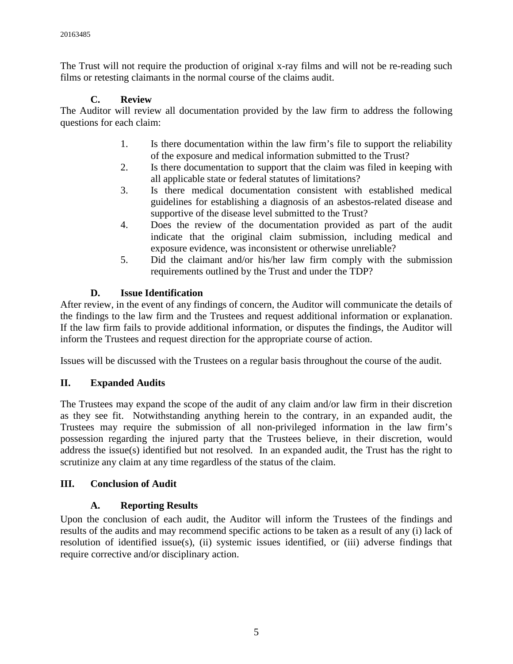The Trust will not require the production of original x-ray films and will not be re-reading such films or retesting claimants in the normal course of the claims audit.

# **C. Review**

The Auditor will review all documentation provided by the law firm to address the following questions for each claim:

- 1. Is there documentation within the law firm's file to support the reliability of the exposure and medical information submitted to the Trust?
- 2. Is there documentation to support that the claim was filed in keeping with all applicable state or federal statutes of limitations?
- 3. Is there medical documentation consistent with established medical guidelines for establishing a diagnosis of an asbestos-related disease and supportive of the disease level submitted to the Trust?
- 4. Does the review of the documentation provided as part of the audit indicate that the original claim submission, including medical and exposure evidence, was inconsistent or otherwise unreliable?
- 5. Did the claimant and/or his/her law firm comply with the submission requirements outlined by the Trust and under the TDP?

# **D. Issue Identification**

After review, in the event of any findings of concern, the Auditor will communicate the details of the findings to the law firm and the Trustees and request additional information or explanation. If the law firm fails to provide additional information, or disputes the findings, the Auditor will inform the Trustees and request direction for the appropriate course of action.

Issues will be discussed with the Trustees on a regular basis throughout the course of the audit.

# **II. Expanded Audits**

The Trustees may expand the scope of the audit of any claim and/or law firm in their discretion as they see fit. Notwithstanding anything herein to the contrary, in an expanded audit, the Trustees may require the submission of all non-privileged information in the law firm's possession regarding the injured party that the Trustees believe, in their discretion, would address the issue(s) identified but not resolved. In an expanded audit, the Trust has the right to scrutinize any claim at any time regardless of the status of the claim.

### **III. Conclusion of Audit**

### **A. Reporting Results**

Upon the conclusion of each audit, the Auditor will inform the Trustees of the findings and results of the audits and may recommend specific actions to be taken as a result of any (i) lack of resolution of identified issue(s), (ii) systemic issues identified, or (iii) adverse findings that require corrective and/or disciplinary action.